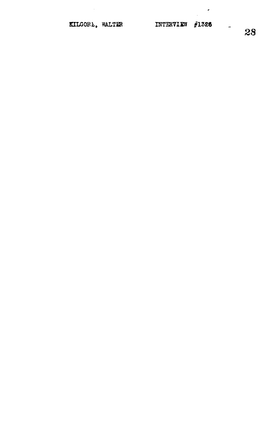$\bar{z}$ 

 $\overline{\phantom{a}}$  $\mathbb{R}^2$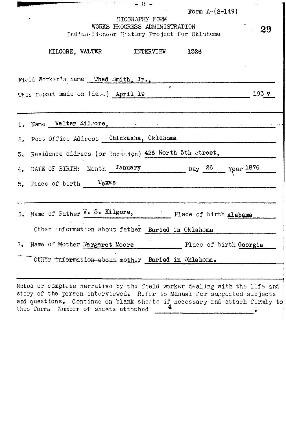|               |                                                                           | $\overline{\phantom{a}}$ $\overline{\phantom{a}}$ $\overline{\phantom{a}}$ $\overline{\phantom{a}}$ $\overline{\phantom{a}}$ $\overline{\phantom{a}}$ $\overline{\phantom{a}}$ $\overline{\phantom{a}}$ $\overline{\phantom{a}}$ $\overline{\phantom{a}}$ $\overline{\phantom{a}}$ $\overline{\phantom{a}}$ $\overline{\phantom{a}}$ $\overline{\phantom{a}}$ $\overline{\phantom{a}}$ $\overline{\phantom{a}}$ $\overline{\phantom{a}}$ $\overline{\phantom{a}}$ $\overline{\$ |                |                                             |                        |
|---------------|---------------------------------------------------------------------------|---------------------------------------------------------------------------------------------------------------------------------------------------------------------------------------------------------------------------------------------------------------------------------------------------------------------------------------------------------------------------------------------------------------------------------------------------------------------------------|----------------|---------------------------------------------|------------------------|
|               |                                                                           |                                                                                                                                                                                                                                                                                                                                                                                                                                                                                 |                | Form $A-(S-149)$                            |                        |
|               |                                                                           |                                                                                                                                                                                                                                                                                                                                                                                                                                                                                 | DIOCRAFHY FORM |                                             |                        |
|               |                                                                           | WORKS FROGRESS ADMINISTRATION                                                                                                                                                                                                                                                                                                                                                                                                                                                   |                |                                             | 29                     |
|               |                                                                           |                                                                                                                                                                                                                                                                                                                                                                                                                                                                                 |                | Indian-Hioneer History Project for Oklahoma |                        |
|               |                                                                           |                                                                                                                                                                                                                                                                                                                                                                                                                                                                                 |                |                                             |                        |
|               | KILGORE, WALTER INTERVIEW                                                 |                                                                                                                                                                                                                                                                                                                                                                                                                                                                                 |                | 1326                                        |                        |
|               |                                                                           |                                                                                                                                                                                                                                                                                                                                                                                                                                                                                 |                |                                             |                        |
|               |                                                                           |                                                                                                                                                                                                                                                                                                                                                                                                                                                                                 |                |                                             |                        |
|               | Field Worker's name Thad Smith, Jr.,                                      |                                                                                                                                                                                                                                                                                                                                                                                                                                                                                 |                |                                             |                        |
|               | This report made on (date) April 19                                       |                                                                                                                                                                                                                                                                                                                                                                                                                                                                                 |                |                                             | 193, 7                 |
|               |                                                                           |                                                                                                                                                                                                                                                                                                                                                                                                                                                                                 |                |                                             |                        |
|               |                                                                           |                                                                                                                                                                                                                                                                                                                                                                                                                                                                                 |                |                                             |                        |
| $l_{\bullet}$ | Name Walter Kil <sub>ij</sub> ore,                                        |                                                                                                                                                                                                                                                                                                                                                                                                                                                                                 |                |                                             |                        |
|               |                                                                           |                                                                                                                                                                                                                                                                                                                                                                                                                                                                                 |                |                                             |                        |
| 2.            | Post Office Address Chickasha, Oklahoma                                   |                                                                                                                                                                                                                                                                                                                                                                                                                                                                                 |                |                                             |                        |
|               | 3, Residence address (or location) 426 North 5th Street,                  |                                                                                                                                                                                                                                                                                                                                                                                                                                                                                 |                |                                             |                        |
|               |                                                                           |                                                                                                                                                                                                                                                                                                                                                                                                                                                                                 |                |                                             |                        |
|               | 4. DATE OF BIRTH: Month January Day 26 Year 1876                          |                                                                                                                                                                                                                                                                                                                                                                                                                                                                                 |                |                                             |                        |
|               | 5. Place of birth Texas                                                   |                                                                                                                                                                                                                                                                                                                                                                                                                                                                                 |                |                                             |                        |
|               |                                                                           |                                                                                                                                                                                                                                                                                                                                                                                                                                                                                 |                |                                             |                        |
|               |                                                                           |                                                                                                                                                                                                                                                                                                                                                                                                                                                                                 |                |                                             |                        |
|               | 6. Name of Father W. S. Kilgore, Place of birth Alabama                   |                                                                                                                                                                                                                                                                                                                                                                                                                                                                                 |                |                                             |                        |
|               | Other information about father Buried in Oklahoma                         |                                                                                                                                                                                                                                                                                                                                                                                                                                                                                 |                |                                             |                        |
|               |                                                                           |                                                                                                                                                                                                                                                                                                                                                                                                                                                                                 |                |                                             |                        |
|               | 7. Name of Mother Margaret Moore                                          |                                                                                                                                                                                                                                                                                                                                                                                                                                                                                 |                |                                             | Place of birth Georgia |
|               |                                                                           |                                                                                                                                                                                                                                                                                                                                                                                                                                                                                 |                |                                             |                        |
|               | Other information about mother Buried in Oklahoma.                        |                                                                                                                                                                                                                                                                                                                                                                                                                                                                                 |                |                                             |                        |
|               |                                                                           |                                                                                                                                                                                                                                                                                                                                                                                                                                                                                 |                |                                             |                        |
|               | Notes or complete narrative by the field worker dealing with the life and |                                                                                                                                                                                                                                                                                                                                                                                                                                                                                 |                |                                             |                        |
|               | story of the person interviewed. Refer to Manual for surgested subjects   |                                                                                                                                                                                                                                                                                                                                                                                                                                                                                 |                |                                             |                        |

story of the person interviewed. Refer to Manual for suggected subjects and questions. Continue on blank sheets if necessary and attach firmly to this form. Number of sheets attached  $4$ 

 $\overline{a}$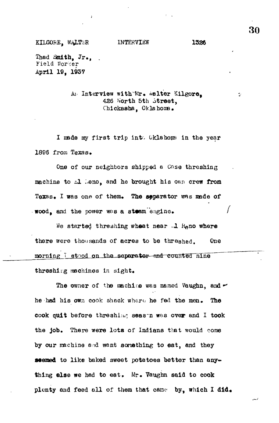Thad Smith, Jr., Field Worker April 19, 1937

> A. Interview with 'Mr. Galter Kilgore. 426 North 5th Street, Chickaaha, Oklahoma.

I made my first trip into Gklahome in the year 1896 from  $Texas<sub>•</sub>$ 

One of our neighbors shipped a Case threshing machine to *zX* :.eno, and he brought his own crew from Texas. I was one of them. The separator was made of wood, and the power was a steam engine.

We started threshing wheat near  $\Lambda$  Heno where there were thousands of acres to be threshed. One morning I stood on the separator and counted nine threshing machines in sight.

The owner of the machine was named Vaughn, and  $\sim$ he had his own cook shack whero he fed the men. The cook quit before threshing season was over and I took the job. There were lots of Indians that would come by our machine and want something to eat, and they seemed to like baked sweet potatoes better than anything else we had to eat. Mr. Vaughn said to cook plenty and feed all of them that came by, which I did.  $\ddot{\cdot}$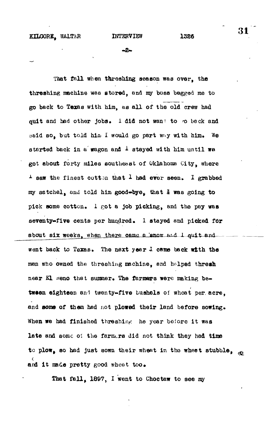## KILGORE, WALTER **INTERVIEW** 1326

 $-2-$ 

That fall when threshing season was over, the threshing machine was stored, and my boss begged me to go back to Texas with him, as all of the old crew had quit and had other jobs. 1 did not wan! to ro back and usid so, but told him I would go part way with him. We started back in a wagon and  $\frac{1}{2}$  stayed with him until we got about forty miles southeast of Oklahoma City, where  $\perp$  saw the finest cotton that  $\perp$  had ever seen. I grabbed my satchel, and told him good-bye,, that *I* was going to pick some cotton. 1 cot a job picking, and the pay was seventy-five cents per hundred. I stayed and picked for about six weeks, when there came a anow and I quit and went back to Texas. The next year I came back with the man who owned the threshing machine, and helped thresh near El seno that summer. The farmers were making between eighteen and twenty-five bushels of wheat per. acre, and some of them had not plowed their land before sowing. When we had finished threshing he year before it was late and some of the farmers did not think they had time to plow, so had just sown their wheat in the wheat stubble, *c* and it made pretty good wheat too.

That fall, 1897, I went to Choctaw to see my

31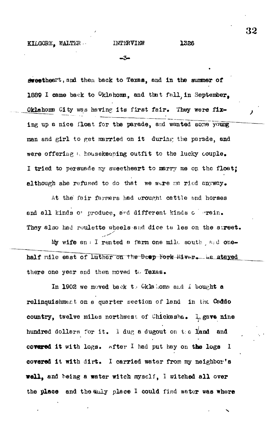- 3 -

**Sweetheart**, and then back to Texas, and in the summer of 1889 I came back to  $0$ klahoma, and that fall in September. Oklahoma City was having its first fair. They were fixing up a nice float for the parade, and wanted some young man and girl to get married on it during the parade, and were offering a housekeeping outfit to the lucky couple. I tried to persuade my sweetheart to marry me on the float; although she refused to do that we were me ried anyway.

At the fair farmers had orought cattle and horses and all kinds of produce, and different kinds o grain. They also had roulette wheels and dice ta les on the street.

Why wife an i I rented a farm one mile south and onehalf mile east of Luther on the Deep Fork Hiver. we stayed

there one yeer and then moved t;> Texas. relinquishment on a quarter section of land in the Caddo relinquishmfcr:t on a quarter section of land in the Ceddo country, twelve miles northwest, of Ghickasha. X\*.gav\* nine hundred dollars for it , 1 dug a dugout on t. e ijand and **covered** i t with logs. After I had put hay on the logs I well, and being a water witched all l over the witched all l over the witched all l over the witched all l over

the **place** and the \_d y place I could find water was **where**